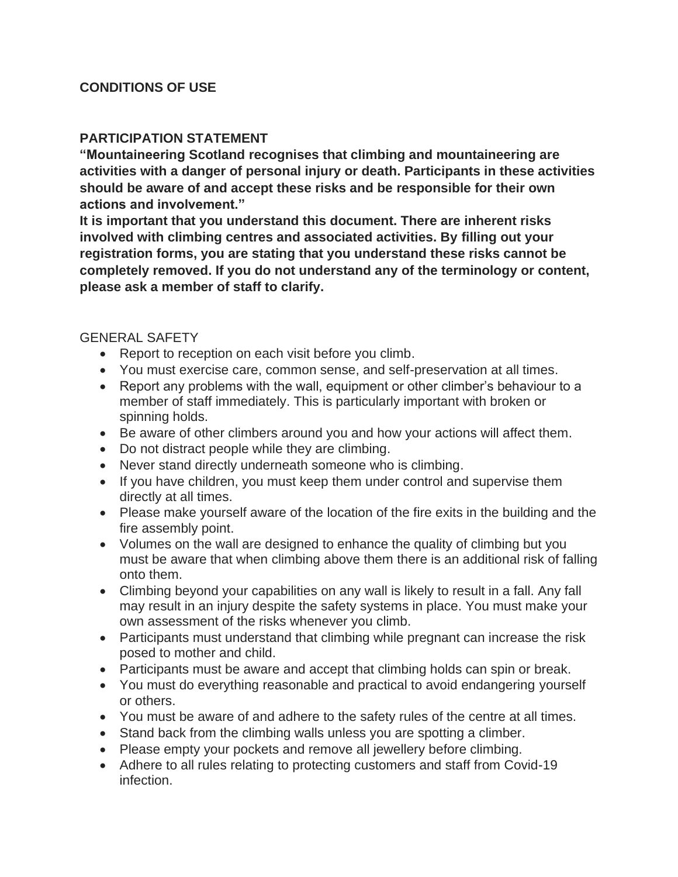## **CONDITIONS OF USE**

#### **PARTICIPATION STATEMENT**

**"Mountaineering Scotland recognises that climbing and mountaineering are activities with a danger of personal injury or death. Participants in these activities should be aware of and accept these risks and be responsible for their own actions and involvement."**

**It is important that you understand this document. There are inherent risks involved with climbing centres and associated activities. By filling out your registration forms, you are stating that you understand these risks cannot be completely removed. If you do not understand any of the terminology or content, please ask a member of staff to clarify.**

#### GENERAL SAFETY

- Report to reception on each visit before you climb.
- You must exercise care, common sense, and self-preservation at all times.
- Report any problems with the wall, equipment or other climber's behaviour to a member of staff immediately. This is particularly important with broken or spinning holds.
- Be aware of other climbers around you and how your actions will affect them.
- Do not distract people while they are climbing.
- Never stand directly underneath someone who is climbing.
- If you have children, you must keep them under control and supervise them directly at all times.
- Please make yourself aware of the location of the fire exits in the building and the fire assembly point.
- Volumes on the wall are designed to enhance the quality of climbing but you must be aware that when climbing above them there is an additional risk of falling onto them.
- Climbing beyond your capabilities on any wall is likely to result in a fall. Any fall may result in an injury despite the safety systems in place. You must make your own assessment of the risks whenever you climb.
- Participants must understand that climbing while pregnant can increase the risk posed to mother and child.
- Participants must be aware and accept that climbing holds can spin or break.
- You must do everything reasonable and practical to avoid endangering yourself or others.
- You must be aware of and adhere to the safety rules of the centre at all times.
- Stand back from the climbing walls unless you are spotting a climber.
- Please empty your pockets and remove all jewellery before climbing.
- Adhere to all rules relating to protecting customers and staff from Covid-19 infection.